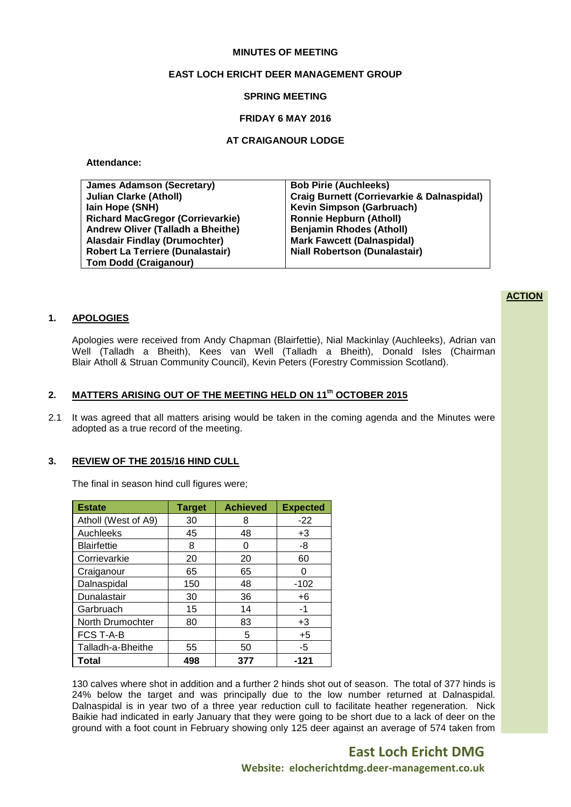### **MINUTES OF MEETING**

## **EAST LOCH ERICHT DEER MANAGEMENT GROUP**

### **SPRING MEETING**

### **FRIDAY 6 MAY 2016**

### **AT CRAIGANOUR LODGE**

**Attendance:**

| <b>James Adamson (Secretary)</b>        | <b>Bob Pirie (Auchleeks)</b>                          |
|-----------------------------------------|-------------------------------------------------------|
| <b>Julian Clarke (Atholl)</b>           | <b>Craig Burnett (Corrievarkie &amp; Dalnaspidal)</b> |
| lain Hope (SNH)                         | <b>Kevin Simpson (Garbruach)</b>                      |
| <b>Richard MacGregor (Corrievarkie)</b> | <b>Ronnie Hepburn (Atholl)</b>                        |
| Andrew Oliver (Talladh a Bheithe)       | <b>Benjamin Rhodes (Atholl)</b>                       |
| <b>Alasdair Findlay (Drumochter)</b>    | <b>Mark Fawcett (Dalnaspidal)</b>                     |
| <b>Robert La Terriere (Dunalastair)</b> | <b>Niall Robertson (Dunalastair)</b>                  |
| <b>Tom Dodd (Craiganour)</b>            |                                                       |

# **ACTION**

## **1. APOLOGIES**

Apologies were received from Andy Chapman (Blairfettie), Nial Mackinlay (Auchleeks), Adrian van Well (Talladh a Bheith), Kees van Well (Talladh a Bheith), Donald Isles (Chairman Blair Atholl & Struan Community Council), Kevin Peters (Forestry Commission Scotland).

# **2. MATTERS ARISING OUT OF THE MEETING HELD ON 11 th OCTOBER 2015**

2.1 It was agreed that all matters arising would be taken in the coming agenda and the Minutes were adopted as a true record of the meeting.

#### **3. REVIEW OF THE 2015/16 HIND CULL**

The final in season hind cull figures were;

| <b>Estate</b>       | <b>Target</b> | <b>Achieved</b> | <b>Expected</b> |
|---------------------|---------------|-----------------|-----------------|
| Atholl (West of A9) | 30            | 8               | $-22$           |
| Auchleeks           | 45            | 48              | $+3$            |
| <b>Blairfettie</b>  | 8             | O               | -8              |
| Corrievarkie        | 20            | 20              | 60              |
| Craiganour          | 65            | 65              | Ω               |
| Dalnaspidal         | 150           | 48              | $-102$          |
| Dunalastair         | 30            | 36              | $+6$            |
| Garbruach           | 15            | 14              | -1              |
| North Drumochter    | 80            | 83              | $+3$            |
| <b>FCS T-A-B</b>    |               | 5               | $+5$            |
| Talladh-a-Bheithe   | 55            | 50              | -5              |
| <b>Total</b>        | 498           | 377             | -121            |

130 calves where shot in addition and a further 2 hinds shot out of season. The total of 377 hinds is 24% below the target and was principally due to the low number returned at Dalnaspidal. Dalnaspidal is in year two of a three year reduction cull to facilitate heather regeneration. Nick Baikie had indicated in early January that they were going to be short due to a lack of deer on the ground with a foot count in February showing only 125 deer against an average of 574 taken from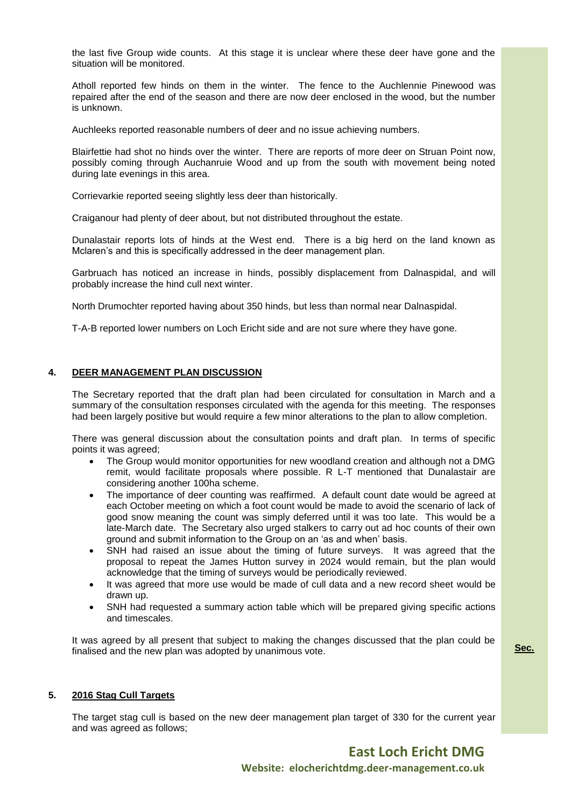the last five Group wide counts. At this stage it is unclear where these deer have gone and the situation will be monitored.

Atholl reported few hinds on them in the winter. The fence to the Auchlennie Pinewood was repaired after the end of the season and there are now deer enclosed in the wood, but the number is unknown.

Auchleeks reported reasonable numbers of deer and no issue achieving numbers.

Blairfettie had shot no hinds over the winter. There are reports of more deer on Struan Point now, possibly coming through Auchanruie Wood and up from the south with movement being noted during late evenings in this area.

Corrievarkie reported seeing slightly less deer than historically.

Craiganour had plenty of deer about, but not distributed throughout the estate.

Dunalastair reports lots of hinds at the West end. There is a big herd on the land known as Mclaren's and this is specifically addressed in the deer management plan.

Garbruach has noticed an increase in hinds, possibly displacement from Dalnaspidal, and will probably increase the hind cull next winter.

North Drumochter reported having about 350 hinds, but less than normal near Dalnaspidal.

T-A-B reported lower numbers on Loch Ericht side and are not sure where they have gone.

# **4. DEER MANAGEMENT PLAN DISCUSSION**

The Secretary reported that the draft plan had been circulated for consultation in March and a summary of the consultation responses circulated with the agenda for this meeting. The responses had been largely positive but would require a few minor alterations to the plan to allow completion.

There was general discussion about the consultation points and draft plan. In terms of specific points it was agreed;

- The Group would monitor opportunities for new woodland creation and although not a DMG remit, would facilitate proposals where possible. R L-T mentioned that Dunalastair are considering another 100ha scheme.
- The importance of deer counting was reaffirmed. A default count date would be agreed at each October meeting on which a foot count would be made to avoid the scenario of lack of good snow meaning the count was simply deferred until it was too late. This would be a late-March date. The Secretary also urged stalkers to carry out ad hoc counts of their own ground and submit information to the Group on an 'as and when' basis.
- SNH had raised an issue about the timing of future surveys. It was agreed that the proposal to repeat the James Hutton survey in 2024 would remain, but the plan would acknowledge that the timing of surveys would be periodically reviewed.
- It was agreed that more use would be made of cull data and a new record sheet would be drawn up.
- SNH had requested a summary action table which will be prepared giving specific actions and timescales.

It was agreed by all present that subject to making the changes discussed that the plan could be finalised and the new plan was adopted by unanimous vote.

# **5. 2016 Stag Cull Targets**

The target stag cull is based on the new deer management plan target of 330 for the current year and was agreed as follows;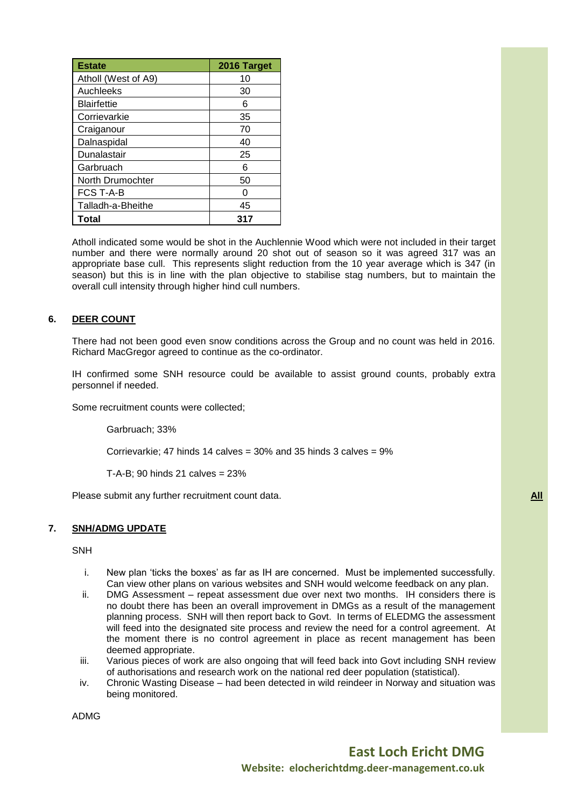| <b>Estate</b>       | 2016 Target |
|---------------------|-------------|
| Atholl (West of A9) | 10          |
| Auchleeks           | 30          |
| <b>Blairfettie</b>  | 6           |
| Corrievarkie        | 35          |
| Craiganour          | 70          |
| Dalnaspidal         | 40          |
| Dunalastair         | 25          |
| Garbruach           | 6           |
| North Drumochter    | 50          |
| <b>FCS T-A-B</b>    |             |
| Talladh-a-Bheithe   | 45          |
| Total               | 317         |

Atholl indicated some would be shot in the Auchlennie Wood which were not included in their target number and there were normally around 20 shot out of season so it was agreed 317 was an appropriate base cull. This represents slight reduction from the 10 year average which is 347 (in season) but this is in line with the plan objective to stabilise stag numbers, but to maintain the overall cull intensity through higher hind cull numbers.

# **6. DEER COUNT**

There had not been good even snow conditions across the Group and no count was held in 2016. Richard MacGregor agreed to continue as the co-ordinator.

IH confirmed some SNH resource could be available to assist ground counts, probably extra personnel if needed.

Some recruitment counts were collected;

Garbruach; 33%

Corrievarkie; 47 hinds 14 calves = 30% and 35 hinds 3 calves = 9%

T-A-B; 90 hinds 21 calves = 23%

Please submit any further recruitment count data. **All All All All All All All All All All All All All All All All All All All All All All All All All All All All All** 

### **7. SNH/ADMG UPDATE**

SNH

- i. New plan 'ticks the boxes' as far as IH are concerned. Must be implemented successfully. Can view other plans on various websites and SNH would welcome feedback on any plan.
- ii. DMG Assessment repeat assessment due over next two months. IH considers there is no doubt there has been an overall improvement in DMGs as a result of the management planning process. SNH will then report back to Govt. In terms of ELEDMG the assessment will feed into the designated site process and review the need for a control agreement. At the moment there is no control agreement in place as recent management has been deemed appropriate.
- iii. Various pieces of work are also ongoing that will feed back into Govt including SNH review of authorisations and research work on the national red deer population (statistical).
- iv. Chronic Wasting Disease had been detected in wild reindeer in Norway and situation was being monitored.

ADMG